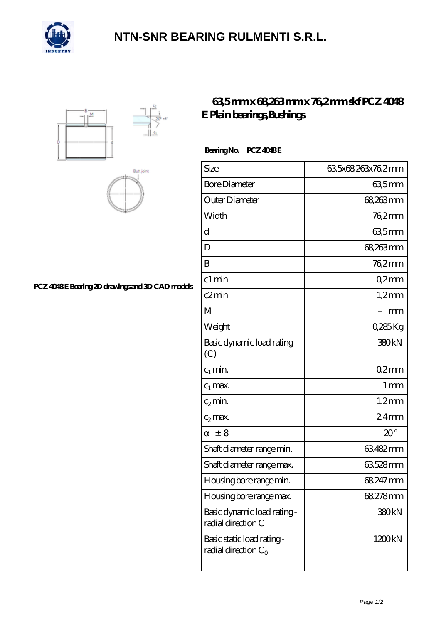

## **[NTN-SNR BEARING RULMENTI S.R.L.](https://m.confidencemenimprov.com)**





PCZ 4048E Bearing 2D drawings and 3D CAD models

## **[63,5 mm x 68,263 mm x 76,2 mm skf PCZ 4048](https://m.confidencemenimprov.com/bh-64974575-skf-pcz-4048-e-plain-bearings-bushings.html) [E Plain bearings,Bushings](https://m.confidencemenimprov.com/bh-64974575-skf-pcz-4048-e-plain-bearings-bushings.html)**

Bearing No. PCZ 4048E

| Size                                                 | 63.5x68.263x76.2mm |
|------------------------------------------------------|--------------------|
| <b>Bore Diameter</b>                                 | 635mm              |
| Outer Diameter                                       | 68,263 mm          |
| Width                                                | 762mm              |
| d                                                    | 635mm              |
| D                                                    | 68,263mm           |
| B                                                    | 76,2mm             |
| c1 min                                               | Q2mm               |
| c2min                                                | $1,2$ mm           |
| М                                                    | mm                 |
| Weight                                               | 0,285Kg            |
| Basic dynamic load rating<br>(C)                     | 380 <sub>kN</sub>  |
| $c_1$ min.                                           | 02mm               |
| $c_1$ max.                                           | $1 \,\mathrm{mm}$  |
| $c_2$ min.                                           | $1.2$ mm           |
| $c_2$ max.                                           | $24$ mm            |
| ± 8                                                  | $20^{\circ}$       |
| Shaft diameter range min.                            | 63482mm            |
| Shaft diameter range max.                            | 63528mm            |
| Housing bore range min.                              | 68.247 mm          |
| Housing bore range max.                              | 68.278mm           |
| Basic dynamic load rating -<br>radial direction C    | 380kN              |
| Basic static load rating -<br>radial direction $C_0$ | 1200kN             |
|                                                      |                    |